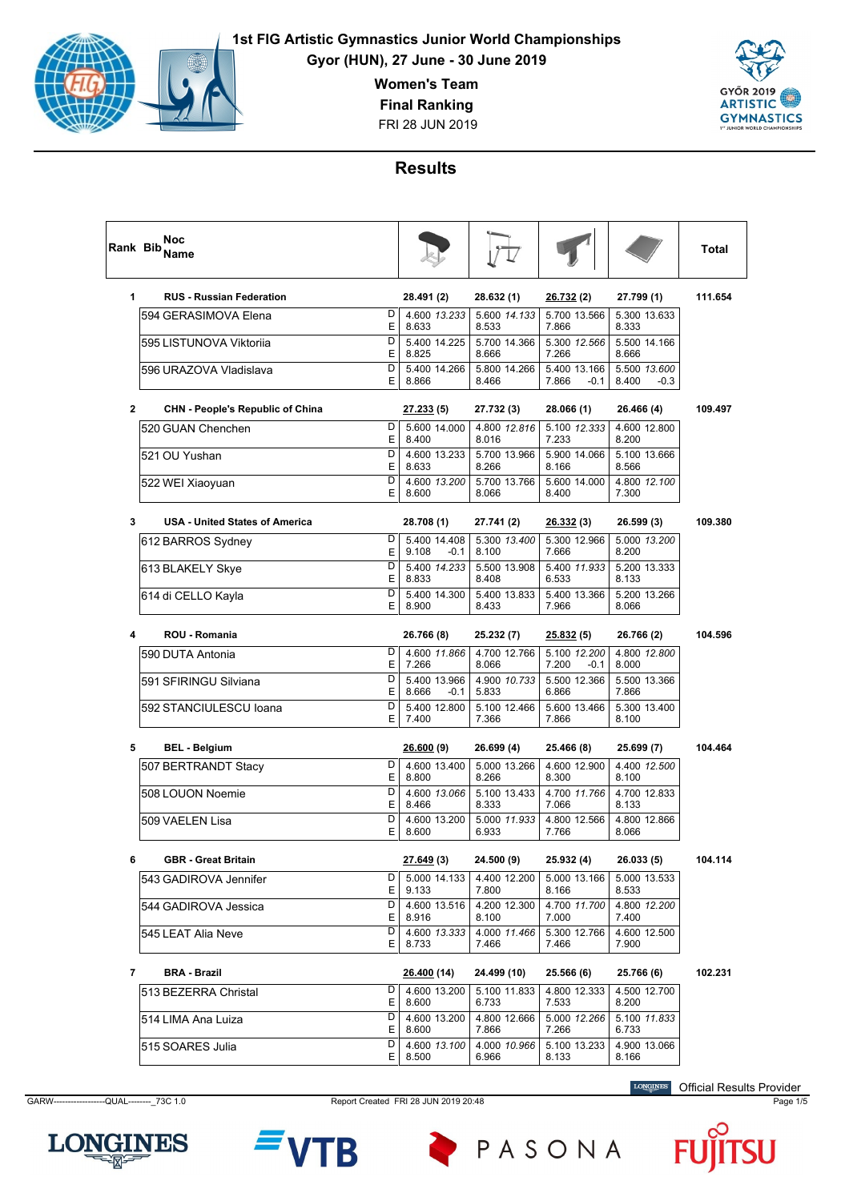

**Gyor (HUN), 27 June - 30 June 2019**

**Women's Team**

**Final Ranking**

FRI 28 JUN 2019



### **Results**

|              | Noc<br>Rank Bib <sub>Name</sub>             |             |                                          |                                |                                 |                                 | <b>Total</b> |
|--------------|---------------------------------------------|-------------|------------------------------------------|--------------------------------|---------------------------------|---------------------------------|--------------|
| 1            | <b>RUS - Russian Federation</b>             |             | 28.491 (2)                               | 28.632 (1)                     | <u>26.732(2)</u>                | 27.799 (1)                      | 111.654      |
|              | 594 GERASIMOVA Elena                        | D<br>Ε      | 4.600 13.233<br>8.633                    | 5.600 14.133<br>8.533          | 5.700 13.566<br>7.866           | 5.300 13.633<br>8.333           |              |
|              | 595 LISTUNOVA Viktorija                     | D<br>Ε      | 5.400 14.225<br>8.825                    | 5.700 14.366<br>8.666          | 5.300 12.566<br>7.266           | 5.500 14.166<br>8.666           |              |
|              | 596 URAZOVA Vladislava                      | D<br>E      | 5.400 14.266<br>8.866                    | 5.800 14.266<br>8.466          | 5.400 13.166<br>7.866<br>$-0.1$ | 5.500 13.600<br>8.400<br>$-0.3$ |              |
| $\mathbf{2}$ | <b>CHN - People's Republic of China</b>     |             | <u>27.233</u> (5)                        | 27.732 (3)                     | 28.066 (1)                      | 26.466 (4)                      | 109.497      |
|              | 520 GUAN Chenchen                           | D<br>E      | 5.600 14.000<br>8.400                    | 4.800 12.816<br>8.016          | 5.100 12.333<br>7.233           | 4.600 12.800<br>8.200           |              |
|              | 521 OU Yushan                               | D<br>E      | 4.600 13.233<br>8.633                    | 5.700 13.966<br>8.266          | 5.900 14.066<br>8.166           | 5.100 13.666<br>8.566           |              |
|              | 522 WEI Xiaoyuan                            | D<br>Е      | 4.600 13.200<br>8.600                    | 5.700 13.766<br>8.066          | 5.600 14.000<br>8.400           | 4.800 12.100<br>7.300           |              |
| 3            | <b>USA - United States of America</b>       |             | 28.708 (1)                               | 27.741 (2)                     | <u>26.332</u> (3)               | 26.599 (3)                      | 109.380      |
|              | 612 BARROS Sydney                           | D<br>E      | 5.400 14.408<br>9.108<br>$-0.1$          | 5.300 13.400<br>8.100          | 5.300 12.966<br>7.666           | 5.000 13.200<br>8.200           |              |
|              | 613 BLAKELY Skye                            | D<br>Ε      | 5.400 14.233<br>8.833                    | 5.500 13.908<br>8.408          | 5.400 11.933<br>6.533           | 5.200 13.333<br>8.133           |              |
|              | 614 di CELLO Kayla                          | D<br>Е      | 5.400 14.300<br>8.900                    | 5.400 13.833<br>8.433          | 5.400 13.366<br>7.966           | 5.200 13.266<br>8.066           |              |
| 4            | ROU - Romania                               |             | 26.766 (8)                               | 25.232 (7)                     | <u>25.832</u> (5)               | 26.766 (2)                      | 104.596      |
|              | 590 DUTA Antonia                            | D           | 4.600 11.866                             | 4.700 12.766                   | 5.100 12.200                    | 4.800 12.800                    |              |
|              | 591 SFIRINGU Silviana                       | Ε<br>D      | 7.266<br>5.400 13.966                    | 8.066<br>4.900 10.733          | 7.200<br>-0.1<br>5.500 12.366   | 8.000<br>5.500 13.366           |              |
|              | 592 STANCIULESCU Ioana                      | Ε<br>D<br>E | 8.666<br>$-0.1$<br>5.400 12.800<br>7.400 | 5.833<br>5.100 12.466<br>7.366 | 6.866<br>5.600 13.466<br>7.866  | 7.866<br>5.300 13.400<br>8.100  |              |
|              |                                             |             |                                          |                                |                                 |                                 |              |
| 5            | <b>BEL - Belgium</b><br>507 BERTRANDT Stacy | D           | <u>26.600</u> (9)<br>4.600 13.400        | 26.699 (4)<br>5.000 13.266     | 25.466 (8)<br>4.600 12.900      | 25.699 (7)<br>4.400 12.500      | 104.464      |
|              |                                             | Е           | 8.800                                    | 8.266                          | 8.300                           | 8.100                           |              |
|              | 508 LOUON Noemie                            | D<br>Ε      | 4.600 13.066<br>8.466                    | 5.100 13.433<br>8.333          | 4.700 11.766<br>7.066           | 4.700 12.833<br>8.133           |              |
|              | 509 VAELEN Lisa                             | D<br>Ε      | 4.600 13.200<br>8.600                    | 5.000 11.933<br>6.933          | 4.800 12.566<br>7.766           | 4.800 12.866<br>8.066           |              |
| 6            | <b>GBR</b> - Great Britain                  |             | <u>27.649</u> (3)                        | 24.500 (9)                     | 25.932 (4)                      | 26.033 (5)                      | 104.114      |
|              | 543 GADIROVA Jennifer                       | D<br>Е      | 5.000 14.133<br>9.133                    | 4.400 12.200<br>7.800          | 5.000 13.166<br>8.166           | 5.000 13.533<br>8.533           |              |
|              | 544 GADIROVA Jessica                        | D<br>Е.     | 4.600 13.516<br>8.916                    | 4.200 12.300<br>8.100          | 4.700 11.700<br>7.000           | 4.800 12.200<br>7.400           |              |
|              | 545 LEAT Alia Neve                          | D<br>E.     | 4.600 13.333<br>8.733                    | 4.000 11.466<br>7.466          | 5.300 12.766<br>7.466           | 4.600 12.500<br>7.900           |              |
| 7            | <b>BRA - Brazil</b>                         |             | 26.400 (14)                              | 24.499 (10)                    | 25.566 (6)                      | 25.766 (6)                      | 102.231      |
|              | 513 BEZERRA Christal                        | D<br>Е.     | 4.600 13.200<br>8.600                    | 5.100 11.833<br>6.733          | 4.800 12.333<br>7.533           | 4.500 12.700<br>8.200           |              |
|              | 514 LIMA Ana Luiza                          | D<br>E.     | 4.600 13.200<br>8.600                    | 4.800 12.666<br>7.866          | 5.000 12.266<br>7.266           | 5.100 11.833<br>6.733           |              |
|              | 515 SOARES Julia                            | D<br>Е      | 4.600 13.100<br>8.500                    | 4.000 10.966<br>6.966          | 5.100 13.233<br>8.133           | 4.900 13.066<br>8.166           |              |

**LONGINES** 

GARW------------------QUAL--------\_73C 1.0 Report Created FRI 28 JUN 2019 20:48 Page 1/5

B

PASONA

**LONGINES** Official Results Provider

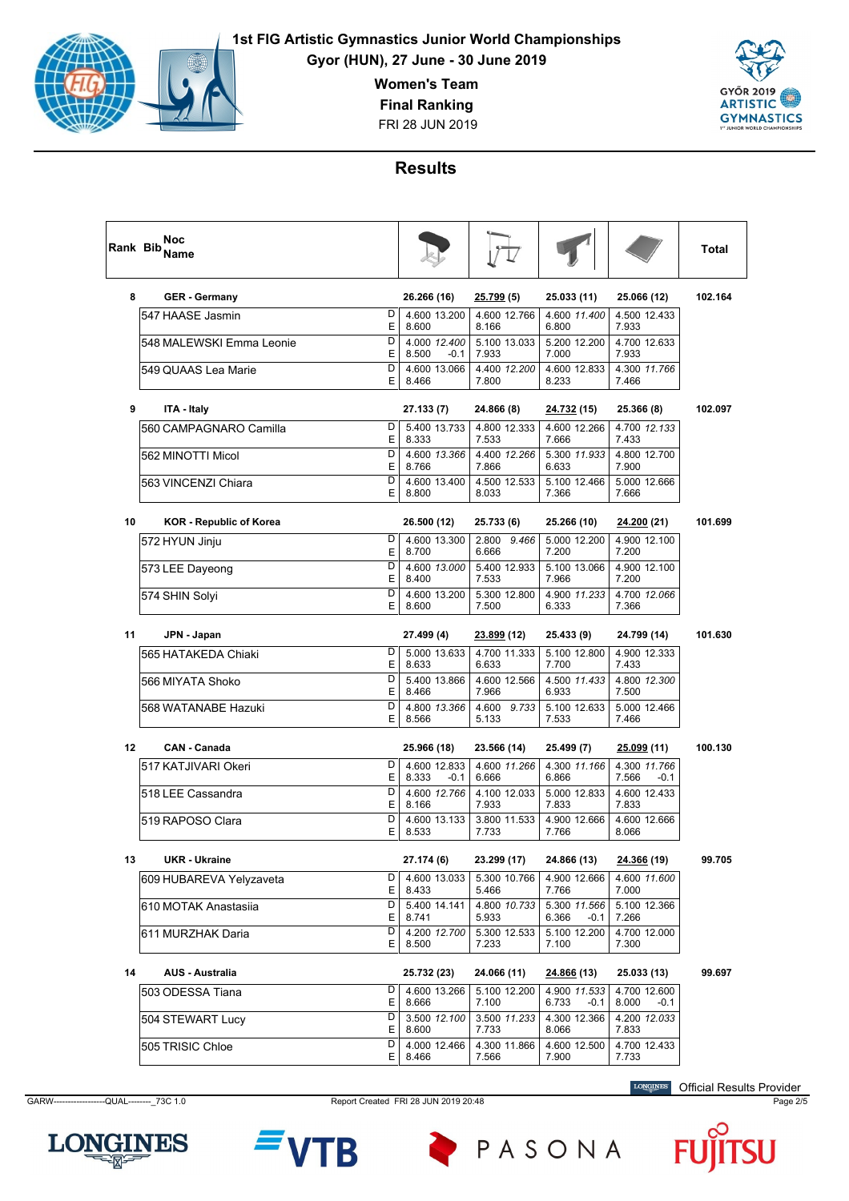

**Gyor (HUN), 27 June - 30 June 2019**

**Women's Team**

**Final Ranking**

FRI 28 JUN 2019



#### **Results**

| Rank Bib | Noc<br>Name                    |                   |                                 |                                |                                        |                                 | Total   |
|----------|--------------------------------|-------------------|---------------------------------|--------------------------------|----------------------------------------|---------------------------------|---------|
| 8        | <b>GER - Germany</b>           |                   | 26.266 (16)                     | <u>25.799</u> (5)              | 25.033 (11)                            | 25.066 (12)                     | 102.164 |
|          | 547 HAASE Jasmin               | D<br>Ε            | 4.600 13.200<br>8.600           | 4.600 12.766<br>8.166          | 4.600 11.400<br>6.800                  | 4.500 12.433<br>7.933           |         |
|          | 548 MALEWSKI Emma Leonie       | D<br>Е            | 4.000 12.400<br>8.500<br>$-0.1$ | 5.100 13.033<br>7.933          | 5.200 12.200<br>7.000                  | 4.700 12.633<br>7.933           |         |
|          | 549 QUAAS Lea Marie            | D<br>E            | 4.600 13.066<br>8.466           | 4.400 12.200<br>7.800          | 4.600 12.833<br>8.233                  | 4.300 11.766<br>7.466           |         |
| 9        | ITA - Italy                    |                   | 27.133 (7)                      | 24.866 (8)                     | <u>24.732</u> (15)                     | 25.366 (8)                      | 102.097 |
|          | 560 CAMPAGNARO Camilla         | D<br>Е            | 5.400 13.733<br>8.333           | 4.800 12.333<br>7.533          | 4.600 12.266<br>7.666                  | 4.700 12.133<br>7.433           |         |
|          | 562 MINOTTI Micol              | D<br>Е            | 4.600 13.366<br>8.766           | 4.400 12.266<br>7.866          | 5.300 11.933<br>6.633                  | 4.800 12.700<br>7.900           |         |
|          | 563 VINCENZI Chiara            | D<br>E            | 4.600 13.400<br>8.800           | 4.500 12.533<br>8.033          | 5.100 12.466<br>7.366                  | 5.000 12.666<br>7.666           |         |
| 10       | <b>KOR - Republic of Korea</b> |                   | 26.500 (12)                     | 25.733 (6)                     | 25.266 (10)                            | <u>24.200</u> (21)              | 101.699 |
|          | 572 HYUN Jinju                 | D<br>E            | 4.600 13.300<br>8.700           | 2.800 9.466<br>6.666           | 5.000 12.200<br>7.200                  | 4.900 12.100<br>7.200           |         |
|          | 573 LEE Dayeong                | D<br>Е            | 4.600 13.000<br>8.400           | 5.400 12.933<br>7.533          | 5.100 13.066<br>7.966                  | 4.900 12.100<br>7.200           |         |
|          | 574 SHIN Solyi                 | D<br>Е            | 4.600 13.200<br>8.600           | 5.300 12.800<br>7.500          | 4.900 11.233<br>6.333                  | 4.700 12.066<br>7.366           |         |
| 11       | JPN - Japan                    |                   | 27.499 (4)                      | <u>23.899</u> (12)             | 25.433 (9)                             | 24.799 (14)                     | 101.630 |
|          | 565 HATAKEDA Chiaki            | D<br>Е            | 5.000 13.633<br>8.633           | 4.700 11.333<br>6.633          | 5.100 12.800<br>7.700                  | 4.900 12.333<br>7.433           |         |
|          | 566 MIYATA Shoko               | D<br>Е            | 5.400 13.866<br>8.466           | 4.600 12.566<br>7.966          | 4.500 11.433<br>6.933                  | 4.800 12.300<br>7.500           |         |
|          | 568 WATANABE Hazuki            | D<br>E            | 4.800 13.366<br>8.566           | 4.600 9.733<br>5.133           | 5.100 12.633<br>7.533                  | 5.000 12.466<br>7.466           |         |
| 12       | <b>CAN - Canada</b>            |                   | 25.966 (18)                     | 23.566 (14)                    | 25.499 (7)                             | <u>25.099</u> (11)              | 100.130 |
|          | 517 KATJIVARI Okeri            | D<br>Е            | 4.600 12.833<br>8.333<br>$-0.1$ | 4.600 11.266<br>6.666          | 4.300 11.166<br>6.866                  | 4.300 11.766<br>7.566<br>$-0.1$ |         |
|          | 518 LEE Cassandra              | D<br>E            | 4.600 12.766<br>8.166           | 4.100 12.033<br>7.933          | 5.000 12.833<br>7.833                  | 4.600 12.433<br>7.833           |         |
|          | 519 RAPOSO Clara               | D<br>Е            | 4.600 13.133<br>8.533           | 3.800 11.533<br>7.733          | 4.900 12.666<br>7.766                  | 4.600 12.666<br>8.066           |         |
| 13       | <b>UKR</b> - Ukraine           |                   | 27.174 (6)                      | 23.299 (17)                    | 24.866 (13)                            | 24.366 (19)                     | 99.705  |
|          | 609 HUBAREVA Yelyzaveta        | $\mathsf{D}$<br>E | 4.600 13.033<br>8.433           | 5.300 10.766<br>5.466          | 4.900 12.666<br>7.766                  | 4.600 11.600<br>7.000           |         |
|          | 610 MOTAK Anastasija           | D                 | 5.400 14.141                    | 4.800 10.733                   | 5.300 11.566                           | 5.100 12.366                    |         |
|          | 611 MURZHAK Daria              | Е<br>D<br>ΕI      | 8.741<br>4.200 12.700<br>8.500  | 5.933<br>5.300 12.533<br>7.233 | 6.366<br>-0.1<br>5.100 12.200<br>7.100 | 7.266<br>4.700 12.000<br>7.300  |         |
| 14       | <b>AUS - Australia</b>         |                   | 25.732 (23)                     | 24.066 (11)                    | 24.866 (13)                            | 25.033 (13)                     | 99.697  |
|          | 503 ODESSA Tiana               | D                 | 4.600 13.266                    | 5.100 12.200                   | 4.900 11.533                           | 4.700 12.600                    |         |
|          | 504 STEWART Lucy               | E<br>D            | 8.666<br>3.500 12.100           | 7.100<br>3.500 11.233          | 6.733<br>-0.1<br>4.300 12.366          | 8.000<br>$-0.1$<br>4.200 12.033 |         |
|          | 505 TRISIC Chloe               | ΕI<br>D<br>ΕI     | 8.600<br>4.000 12.466<br>8.466  | 7.733<br>4.300 11.866<br>7.566 | 8.066<br>4.600 12.500<br>7.900         | 7.833<br>4.700 12.433<br>7.733  |         |

GARW------------------QUAL--------\_73C 1.0 Report Created FRI 28 JUN 2019 20:48 Page 2/5

**LONGINES** Official Results Provider





PASONA

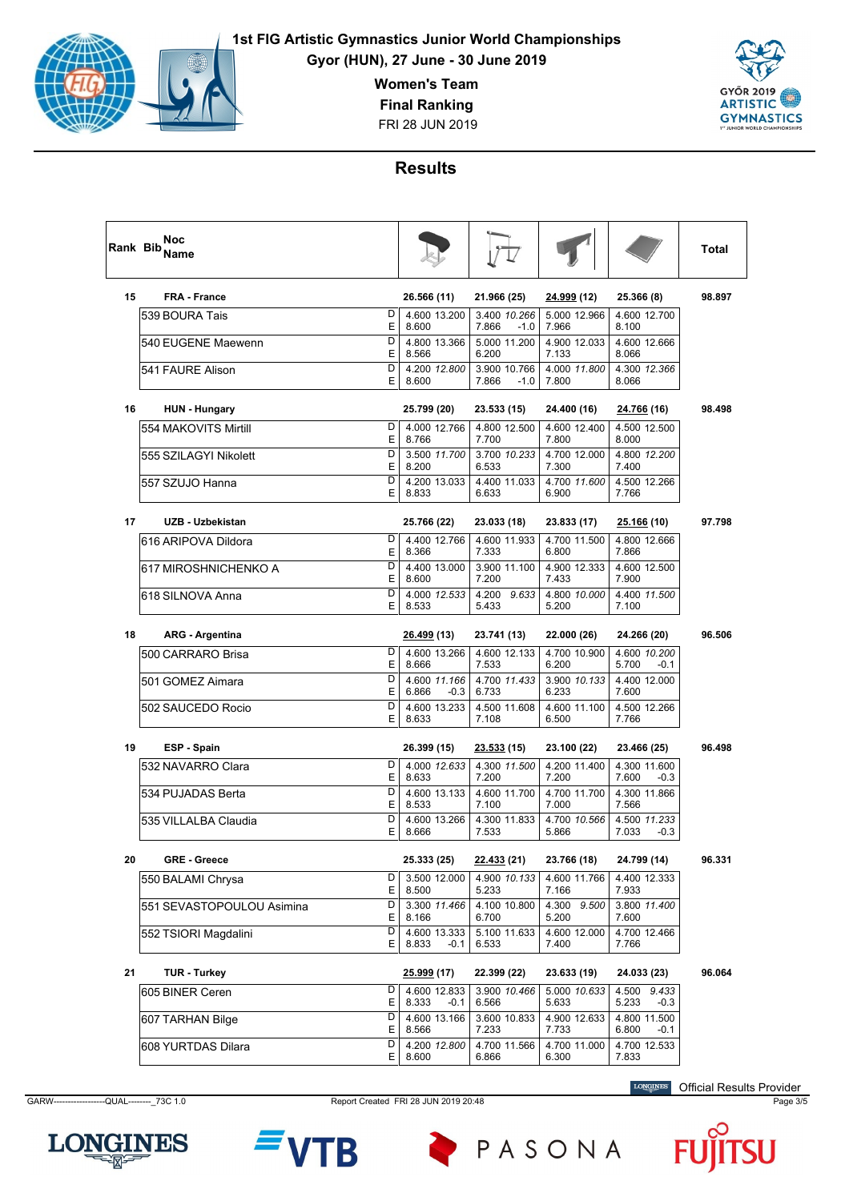

**Gyor (HUN), 27 June - 30 June 2019**

**Women's Team**

**Final Ranking**

FRI 28 JUN 2019



#### **Results**

| Rank Bib | Noc<br>Name               |        |                                 |                                 |                       |                                 | Total  |
|----------|---------------------------|--------|---------------------------------|---------------------------------|-----------------------|---------------------------------|--------|
| 15       | <b>FRA - France</b>       |        | 26.566 (11)                     | 21.966 (25)                     | <u>24.999</u> (12)    | 25.366 (8)                      | 98.897 |
|          | 539 BOURA Tais            | D<br>E | 4.600 13.200<br>8.600           | 3.400 10.266<br>7.866<br>$-1.0$ | 5.000 12.966<br>7.966 | 4.600 12.700<br>8.100           |        |
|          | 540 EUGENE Maewenn        | D<br>E | 4.800 13.366<br>8.566           | 5.000 11.200<br>6.200           | 4.900 12.033<br>7.133 | 4.600 12.666<br>8.066           |        |
|          | 541 FAURE Alison          | D<br>Е | 4.200 12.800<br>8.600           | 3.900 10.766<br>7.866<br>$-1.0$ | 4.000 11.800<br>7.800 | 4.300 12.366<br>8.066           |        |
| 16       | <b>HUN</b> - Hungary      |        | 25.799 (20)                     | 23.533 (15)                     | 24.400 (16)           | 24.766 (16)                     | 98.498 |
|          | 1554 MAKOVITS Mirtill     | D<br>E | 4.000 12.766<br>8.766           | 4.800 12.500<br>7.700           | 4.600 12.400<br>7.800 | 4.500 12.500<br>8.000           |        |
|          | 555 SZILAGYI Nikolett     | D<br>Е | 3.500 11.700<br>8.200           | 3.700 10.233<br>6.533           | 4.700 12.000<br>7.300 | 4.800 12.200<br>7.400           |        |
|          | 557 SZUJO Hanna           | D<br>E | 4.200 13.033<br>8.833           | 4.400 11.033<br>6.633           | 4.700 11.600<br>6.900 | 4.500 12.266<br>7.766           |        |
| 17       | UZB - Uzbekistan          |        | 25.766 (22)                     | 23.033 (18)                     | 23.833 (17)           | <u>25.166</u> (10)              | 97.798 |
|          | l616 ARIPOVA Dildora      | D<br>Ε | 4.400 12.766<br>8.366           | 4.600 11.933<br>7.333           | 4.700 11.500<br>6.800 | 4.800 12.666<br>7.866           |        |
|          | 617 MIROSHNICHENKO A      | D<br>Ε | 4.400 13.000<br>8.600           | 3.900 11.100<br>7.200           | 4.900 12.333<br>7.433 | 4.600 12.500<br>7.900           |        |
|          | 618 SILNOVA Anna          | D<br>E | 4.000 12.533<br>8.533           | 4.200<br>9.633<br>5.433         | 4.800 10.000<br>5.200 | 4.400 11.500<br>7.100           |        |
| 18       | <b>ARG - Argentina</b>    |        | 26.499 (13)                     | 23.741 (13)                     | 22.000 (26)           | 24.266 (20)                     | 96.506 |
|          | l500 CARRARO Brisa        | D<br>Ε | 4.600 13.266<br>8.666           | 4.600 12.133<br>7.533           | 4.700 10.900<br>6.200 | 4.600 10.200<br>5.700<br>$-0.1$ |        |
|          | 501 GOMEZ Aimara          | D<br>E | 4.600 11.166<br>6.866<br>$-0.3$ | 4.700 11.433<br>6.733           | 3.900 10.133<br>6.233 | 4.400 12.000<br>7.600           |        |
|          | 502 SAUCEDO Rocio         | D<br>Е | 4.600 13.233<br>8.633           | 4.500 11.608<br>7.108           | 4.600 11.100<br>6.500 | 4.500 12.266<br>7.766           |        |
| 19       | ESP - Spain               |        | 26.399 (15)                     | <u>23.533</u> (15)              | 23.100 (22)           | 23.466 (25)                     | 96.498 |
|          | 1532 NAVARRO Clara        | D<br>E | 4.000 12.633<br>8.633           | 4.300 11.500<br>7.200           | 4.200 11.400<br>7.200 | 4.300 11.600<br>7.600<br>$-0.3$ |        |
|          | 534 PUJADAS Berta         | D<br>Ε | 4.600 13.133<br>8.533           | 4.600 11.700<br>7.100           | 4.700 11.700<br>7.000 | 4.300 11.866<br>7.566           |        |
|          | 535 VILLALBA Claudia      | D<br>E | 4.600 13.266<br>8.666           | 4.300 11.833<br>7.533           | 4.700 10.566<br>5.866 | 4.500 11.233<br>7.033<br>$-0.3$ |        |
| 20       | <b>GRE - Greece</b>       |        | 25.333 (25)                     | 22.433 (21)                     | 23.766 (18)           | 24.799 (14)                     | 96.331 |
|          | 550 BALAMI Chrysa         | D<br>Е | 3.500 12.000<br>8.500           | 4.900 10.133<br>5.233           | 4.600 11.766<br>7.166 | 4.400 12.333<br>7.933           |        |
|          | 551 SEVASTOPOULOU Asimina | D<br>Е | 3.300 11.466<br>8.166           | 4.100 10.800<br>6.700           | 4.300 9.500<br>5.200  | 3.800 11.400<br>7.600           |        |
|          | 552 TSIORI Magdalini      | D<br>E | 4.600 13.333<br>8.833<br>$-0.1$ | 5.100 11.633<br>6.533           | 4.600 12.000<br>7.400 | 4.700 12.466<br>7.766           |        |
| 21       | <b>TUR - Turkey</b>       |        | <u>25.999</u> (17)              | 22.399 (22)                     | 23.633 (19)           | 24.033 (23)                     | 96.064 |
|          | 605 BINER Ceren           | D<br>Е | 4.600 12.833<br>8.333<br>$-0.1$ | 3.900 10.466<br>6.566           | 5.000 10.633<br>5.633 | 4.500 9.433<br>5.233<br>$-0.3$  |        |
|          | 607 TARHAN Bilge          | D<br>Е | 4.600 13.166<br>8.566           | 3.600 10.833<br>7.233           | 4.900 12.633<br>7.733 | 4.800 11.500<br>6.800<br>$-0.1$ |        |
|          | 608 YURTDAS Dilara        | D<br>Е | 4.200 12.800<br>8.600           | 4.700 11.566<br>6.866           | 4.700 11.000<br>6.300 | 4.700 12.533<br>7.833           |        |

**LONGINES** 

GARW------------------QUAL--------\_73C 1.0 Report Created FRI 28 JUN 2019 20:48 Page 3/5

B

PASONA

**LONGINES** Official Results Provider

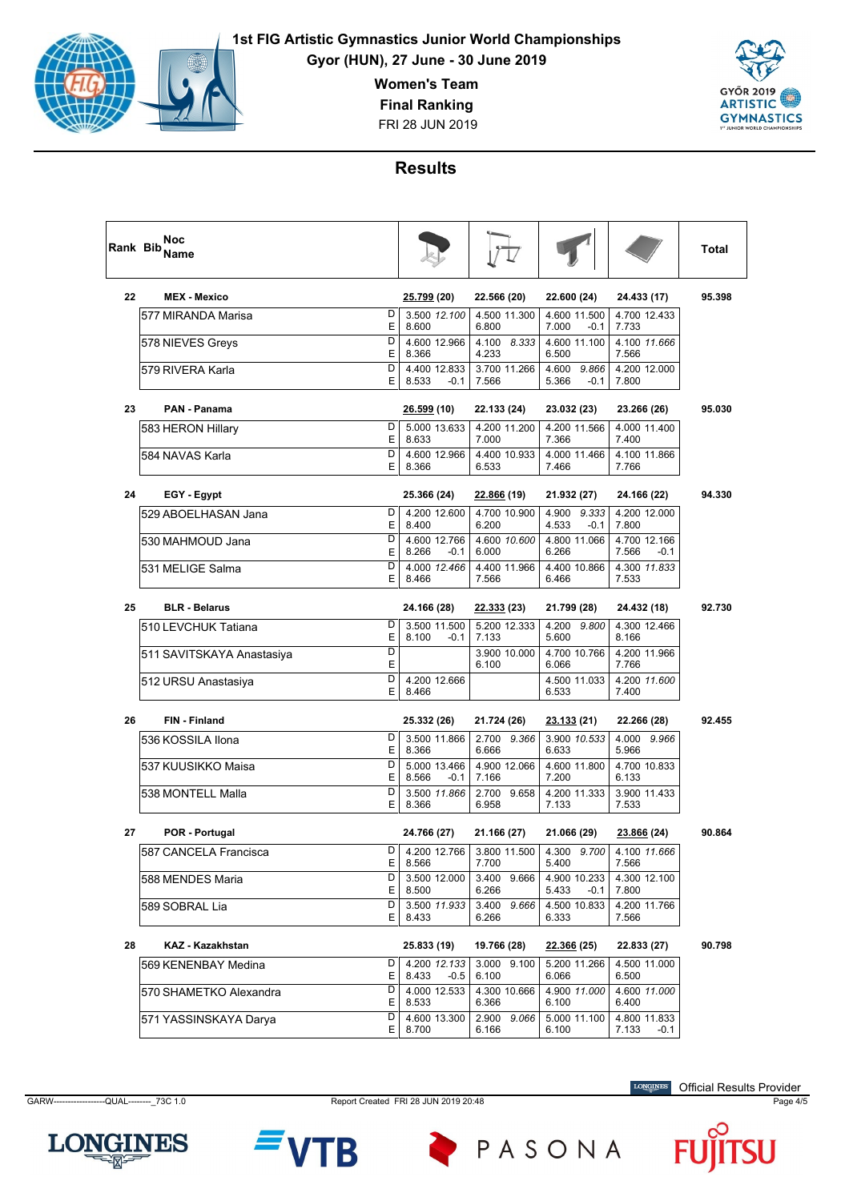

**Gyor (HUN), 27 June - 30 June 2019**

**Women's Team**

**Final Ranking**

FRI 28 JUN 2019



### **Results**

| <b>Rank Bib</b> | Noc<br>Name               |             |                                 |                                |                                   |                                | Total  |
|-----------------|---------------------------|-------------|---------------------------------|--------------------------------|-----------------------------------|--------------------------------|--------|
| 22              | <b>MEX - Mexico</b>       |             | 25.799 (20)                     | 22.566 (20)                    | 22.600 (24)                       | 24.433 (17)                    | 95.398 |
|                 | 577 MIRANDA Marisa        | D<br>E      | 3.500 12.100<br>8.600           | 4.500 11.300<br>6.800          | 4.600 11.500<br>7.000<br>$-0.1$   | 4.700 12.433<br>7.733          |        |
|                 | 578 NIEVES Greys          | D<br>E      | 4.600 12.966<br>8.366           | 4.100<br>8.333<br>4.233        | 4.600 11.100<br>6.500             | 4.100 11.666<br>7.566          |        |
|                 | 579 RIVERA Karla          | D<br>E      | 4.400 12.833<br>8.533<br>$-0.1$ | 3.700 11.266<br>7.566          | 4.600<br>9.866<br>5.366<br>$-0.1$ | 4.200 12.000<br>7.800          |        |
| 23              | <b>PAN - Panama</b>       |             | 26.599 (10)                     | 22.133 (24)                    | 23.032 (23)                       | 23.266 (26)                    | 95.030 |
|                 | 583 HERON Hillary         | D           | 5.000 13.633                    | 4.200 11.200                   | 4.200 11.566                      | 4.000 11.400                   |        |
|                 | 584 NAVAS Karla           | E<br>D<br>Ε | 8.633<br>4.600 12.966<br>8.366  | 7.000<br>4.400 10.933<br>6.533 | 7.366<br>4.000 11.466<br>7.466    | 7.400<br>4.100 11.866<br>7.766 |        |
| 24              | EGY - Egypt               |             | 25.366 (24)                     | <u>22.866</u> (19)             | 21.932 (27)                       | 24.166 (22)                    | 94.330 |
|                 | 529 ABOELHASAN Jana       | D           | 4.200 12.600                    | 4.700 10.900                   | 4.900 9.333                       | 4.200 12.000                   |        |
|                 | 530 MAHMOUD Jana          | E<br>D      | 8.400<br>4.600 12.766           | 6.200<br>4.600 10.600          | 4.533<br>$-0.1$<br>4.800 11.066   | 7.800<br>4.700 12.166          |        |
|                 |                           | Ε           | 8.266<br>$-0.1$                 | 6.000                          | 6.266                             | 7.566<br>-0.1                  |        |
|                 | 531 MELIGE Salma          | D<br>E      | 4.000 12.466<br>8.466           | 4.400 11.966<br>7.566          | 4.400 10.866<br>6.466             | 4.300 11.833<br>7.533          |        |
| 25              | <b>BLR - Belarus</b>      |             | 24.166 (28)                     | <u>22.333</u> (23)             | 21.799 (28)                       | 24.432 (18)                    | 92.730 |
|                 | 510 LEVCHUK Tatiana       | D<br>Ε      | 3.500 11.500<br>8.100<br>-0.1   | 5.200 12.333<br>7.133          | 4.200 9.800<br>5.600              | 4.300 12.466<br>8.166          |        |
|                 | 511 SAVITSKAYA Anastasiya | D<br>E      |                                 | 3.900 10.000<br>6.100          | 4.700 10.766<br>6.066             | 4.200 11.966<br>7.766          |        |
|                 | 512 URSU Anastasiya       | D<br>E      | 4.200 12.666<br>8.466           |                                | 4.500 11.033<br>6.533             | 4.200 11.600<br>7.400          |        |
| 26              | <b>FIN - Finland</b>      |             | 25.332 (26)                     | 21.724 (26)                    | <u>23.133</u> (21)                | 22.266 (28)                    | 92.455 |
|                 | 536 KOSSILA Ilona         | D<br>E      | 3.500 11.866<br>8.366           | 2.700<br>9.366<br>6.666        | 3.900 10.533<br>6.633             | 4.000<br>9.966<br>5.966        |        |
|                 | 537 KUUSIKKO Maisa        | D<br>E      | 5.000 13.466<br>8.566<br>-0.1   | 4.900 12.066<br>7.166          | 4.600 11.800<br>7.200             | 4.700 10.833<br>6.133          |        |
|                 | 538 MONTELL Malla         | D<br>E      | 3.500 11.866<br>8.366           | 2.700<br>9.658<br>6.958        | 4.200 11.333<br>7.133             | 3.900 11.433<br>7.533          |        |
| 27              | POR - Portugal            |             | 24.766 (27)                     | 21.166 (27)                    | 21.066 (29)                       | 23.866 (24)                    | 90.864 |
|                 | 587 CANCELA Francisca     | D<br>E      | 4.200 12.766<br>8.566           | 3.800 11.500<br>7.700          | 4.300 9.700<br>5.400              | 4.100 11.666<br>7.566          |        |
|                 | 588 MENDES Maria          | D<br>Е      | 3.500 12.000<br>8.500           | 3.400 9.666<br>6.266           | 4.900 10.233<br>5.433<br>-0.1     | 4.300 12.100<br>7.800          |        |
|                 | 589 SOBRAL Lia            | D<br>E      | 3.500 11.933<br>8.433           | 3.400<br>9.666<br>6.266        | 4.500 10.833<br>6.333             | 4.200 11.766<br>7.566          |        |
| 28              | <b>KAZ - Kazakhstan</b>   |             | 25.833 (19)                     | 19.766 (28)                    | <u>22.366</u> (25)                | 22.833 (27)                    | 90.798 |
|                 | 569 KENENBAY Medina       | D<br>Е      | 4.200 12.133<br>8.433<br>$-0.5$ | 3.000 9.100<br>6.100           | 5.200 11.266<br>6.066             | 4.500 11.000<br>6.500          |        |
|                 | 570 SHAMETKO Alexandra    | D<br>Ε      | 4.000 12.533<br>8.533           | 4.300 10.666<br>6.366          | 4.900 11.000<br>6.100             | 4.600 11.000<br>6.400          |        |
|                 | 571 YASSINSKAYA Darya     | D<br>Е      | 4.600 13.300<br>8.700           | 2.900<br>9.066<br>6.166        | 5.000 11.100<br>6.100             | 4.800 11.833<br>7.133<br>-0.1  |        |

GARW------------------QUAL--------\_73C 1.0 Report Created FRI 28 JUN 2019 20:48 Page 4/5

**LONGINES** Official Results Provider



**LONGINES** 



PASONA